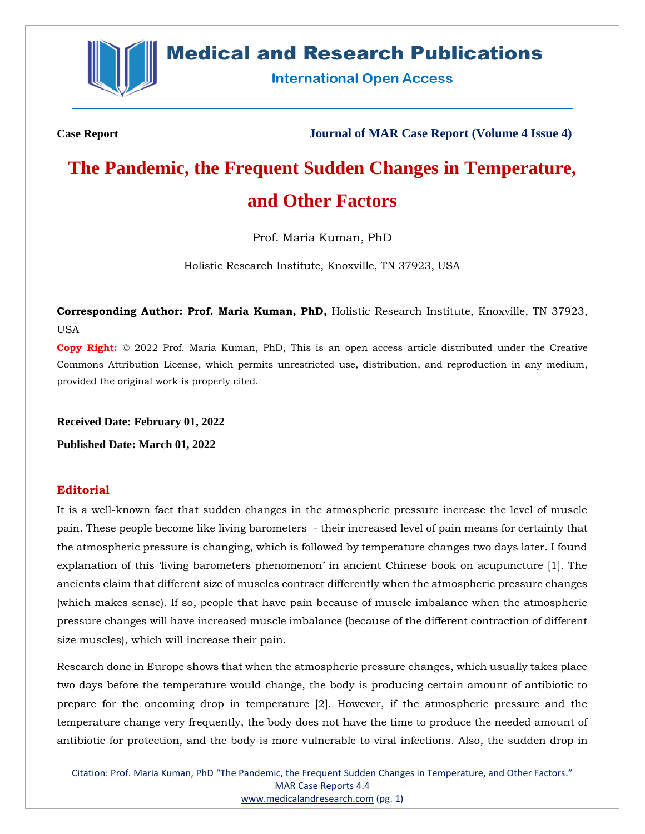

# **Medical and Research Publications**

**International Open Access** 

**Case Report Journal of MAR Case Report (Volume 4 Issue 4)**

# **The Pandemic, the Frequent Sudden Changes in Temperature, and Other Factors**

Prof. Maria Kuman, PhD

Holistic Research Institute, Knoxville, TN 37923, USA

**Corresponding Author: Prof. Maria Kuman, PhD,** Holistic Research Institute, Knoxville, TN 37923, USA

**Copy Right:** © 2022 Prof. Maria Kuman, PhD, This is an open access article distributed under the Creative Commons Attribution License, which permits unrestricted use, distribution, and reproduction in any medium, provided the original work is properly cited.

**Received Date: February 01, 2022**

**Published Date: March 01, 2022**

# **Editorial**

It is a well-known fact that sudden changes in the atmospheric pressure increase the level of muscle pain. These people become like living barometers - their increased level of pain means for certainty that the atmospheric pressure is changing, which is followed by temperature changes two days later. I found explanation of this 'living barometers phenomenon' in ancient Chinese book on acupuncture [1]. The ancients claim that different size of muscles contract differently when the atmospheric pressure changes (which makes sense). If so, people that have pain because of muscle imbalance when the atmospheric pressure changes will have increased muscle imbalance (because of the different contraction of different size muscles), which will increase their pain.

Research done in Europe shows that when the atmospheric pressure changes, which usually takes place two days before the temperature would change, the body is producing certain amount of antibiotic to prepare for the oncoming drop in temperature [2]. However, if the atmospheric pressure and the temperature change very frequently, the body does not have the time to produce the needed amount of antibiotic for protection, and the body is more vulnerable to viral infections. Also, the sudden drop in

Citation: Prof. Maria Kuman, PhD "The Pandemic, the Frequent Sudden Changes in Temperature, and Other Factors." MAR Case Reports 4.4 [www.medicalandresearch.com](http://www.medicalandresearch.com/) (pg. 1)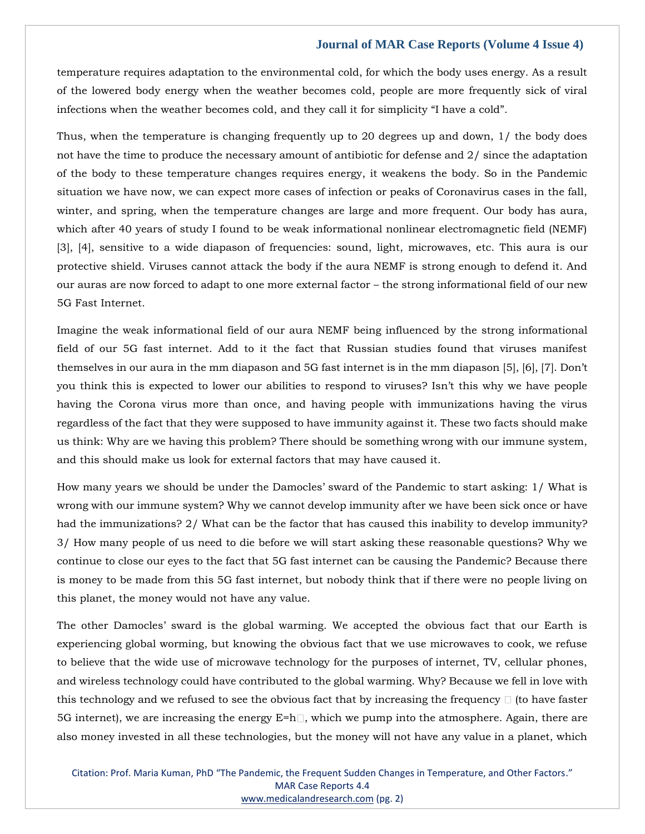#### **Journal of MAR Case Reports (Volume 4 Issue 4)**

temperature requires adaptation to the environmental cold, for which the body uses energy. As a result of the lowered body energy when the weather becomes cold, people are more frequently sick of viral infections when the weather becomes cold, and they call it for simplicity "I have a cold".

Thus, when the temperature is changing frequently up to 20 degrees up and down, 1/ the body does not have the time to produce the necessary amount of antibiotic for defense and 2/ since the adaptation of the body to these temperature changes requires energy, it weakens the body. So in the Pandemic situation we have now, we can expect more cases of infection or peaks of Coronavirus cases in the fall, winter, and spring, when the temperature changes are large and more frequent. Our body has aura, which after 40 years of study I found to be weak informational nonlinear electromagnetic field (NEMF) [3], [4], sensitive to a wide diapason of frequencies: sound, light, microwaves, etc. This aura is our protective shield. Viruses cannot attack the body if the aura NEMF is strong enough to defend it. And our auras are now forced to adapt to one more external factor – the strong informational field of our new 5G Fast Internet.

Imagine the weak informational field of our aura NEMF being influenced by the strong informational field of our 5G fast internet. Add to it the fact that Russian studies found that viruses manifest themselves in our aura in the mm diapason and 5G fast internet is in the mm diapason [5], [6], [7]. Don't you think this is expected to lower our abilities to respond to viruses? Isn't this why we have people having the Corona virus more than once, and having people with immunizations having the virus regardless of the fact that they were supposed to have immunity against it. These two facts should make us think: Why are we having this problem? There should be something wrong with our immune system, and this should make us look for external factors that may have caused it.

How many years we should be under the Damocles' sward of the Pandemic to start asking: 1/ What is wrong with our immune system? Why we cannot develop immunity after we have been sick once or have had the immunizations? 2/ What can be the factor that has caused this inability to develop immunity? 3/ How many people of us need to die before we will start asking these reasonable questions? Why we continue to close our eyes to the fact that 5G fast internet can be causing the Pandemic? Because there is money to be made from this 5G fast internet, but nobody think that if there were no people living on this planet, the money would not have any value.

The other Damocles' sward is the global warming. We accepted the obvious fact that our Earth is experiencing global worming, but knowing the obvious fact that we use microwaves to cook, we refuse to believe that the wide use of microwave technology for the purposes of internet, TV, cellular phones, and wireless technology could have contributed to the global warming. Why? Because we fell in love with this technology and we refused to see the obvious fact that by increasing the frequency  $\Box$  (to have faster 5G internet), we are increasing the energy  $E = h \Box$ , which we pump into the atmosphere. Again, there are also money invested in all these technologies, but the money will not have any value in a planet, which